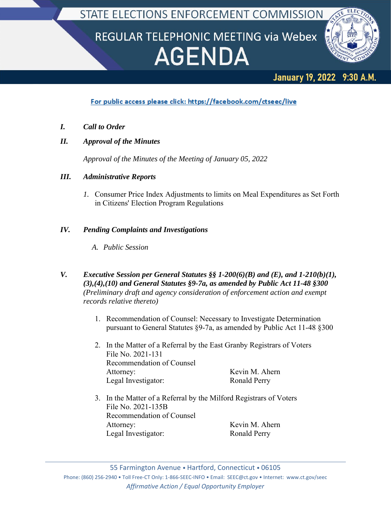STATE ELECTIONS ENFORCEMENT COMMISSION

# REGULAR TELEPHONIC MEETING via Webex **AGENDA**



#### 9:30 A.M. **January 19, 2022**

# For public access please click: https://facebook.com/ctseec/live

- *I. Call to Order*
- *II. Approval of the Minutes*

*Approval of the Minutes of the Meeting of January 05, 2022*

### *III. Administrative Reports*

*1.* Consumer Price Index Adjustments to limits on Meal Expenditures as Set Forth in Citizens' Election Program Regulations

## *IV. Pending Complaints and Investigations*

- *A. Public Session*
- *V. Executive Session per General Statutes §§ 1-200(6)(B) and (E), and 1-210(b)(1), (3),(4),(10) and General Statutes §9-7a, as amended by Public Act 11-48 §300 (Preliminary draft and agency consideration of enforcement action and exempt records relative thereto)*
	- 1. Recommendation of Counsel: Necessary to Investigate Determination pursuant to General Statutes §9-7a, as amended by Public Act 11-48 §300
	- 2. In the Matter of a Referral by the East Granby Registrars of Voters File No. 2021-131 Recommendation of Counsel Attorney: Kevin M. Ahern Legal Investigator: Ronald Perry
	- 3. In the Matter of a Referral by the Milford Registrars of Voters File No. 2021-135B Recommendation of Counsel Attorney: Kevin M. Ahern Legal Investigator: Ronald Perry